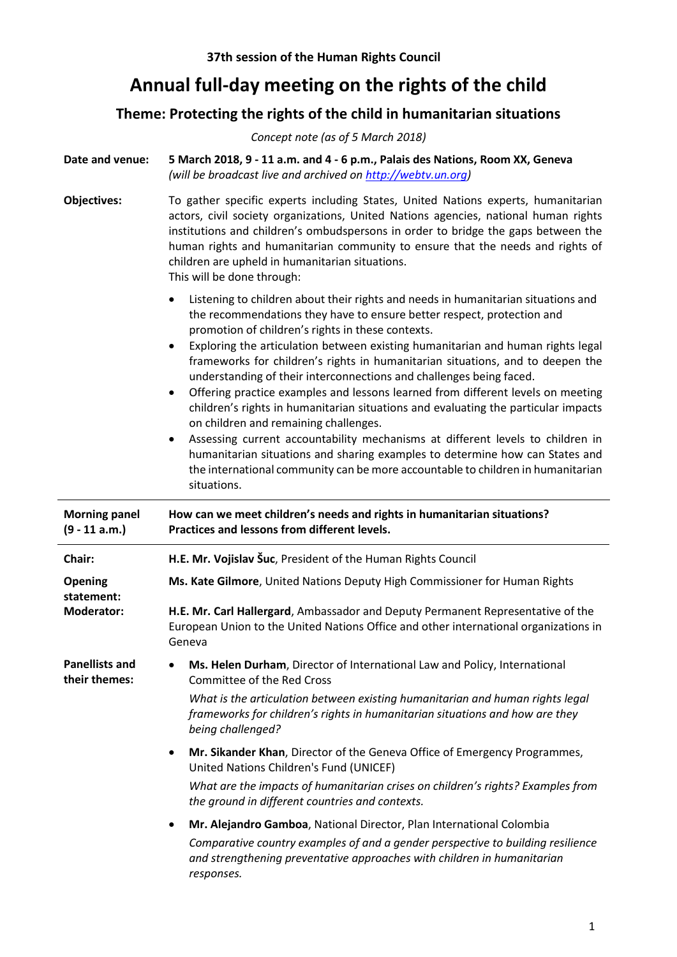## **Annual full-day meeting on the rights of the child**

## **Theme: Protecting the rights of the child in humanitarian situations**

*Concept note (as of 5 March 2018)*

**Date and venue: 5 March 2018, 9 - 11 a.m. and 4 - 6 p.m., Palais des Nations, [Room XX,](http://www.unog.ch/80256EE60057CB67/(httpRooms)/4C2700FCE9684AD780256EF9005A65FE?OpenDocument&unid=BAE3AF717207A5AF80256EF80049C552) Geneva** *(will be broadcast live and archived o[n http://webtv.un.org\)](http://webtv.un.org/)*

- **Objectives:** To gather specific experts including States, United Nations experts, humanitarian actors, civil society organizations, United Nations agencies, national human rights institutions and children's ombudspersons in order to bridge the gaps between the human rights and humanitarian community to ensure that the needs and rights of children are upheld in humanitarian situations. This will be done through:
	- Listening to children about their rights and needs in humanitarian situations and the recommendations they have to ensure better respect, protection and promotion of children's rights in these contexts.
	- Exploring the articulation between existing humanitarian and human rights legal frameworks for children's rights in humanitarian situations, and to deepen the understanding of their interconnections and challenges being faced.
	- Offering practice examples and lessons learned from different levels on meeting children's rights in humanitarian situations and evaluating the particular impacts on children and remaining challenges.
	- Assessing current accountability mechanisms at different levels to children in humanitarian situations and sharing examples to determine how can States and the international community can be more accountable to children in humanitarian situations.

| <b>Morning panel</b><br>$(9 - 11 a.m.)$ | How can we meet children's needs and rights in humanitarian situations?<br>Practices and lessons from different levels.                                                            |
|-----------------------------------------|------------------------------------------------------------------------------------------------------------------------------------------------------------------------------------|
| Chair:                                  | H.E. Mr. Vojislav Šuc, President of the Human Rights Council                                                                                                                       |
| <b>Opening</b><br>statement:            | Ms. Kate Gilmore, United Nations Deputy High Commissioner for Human Rights                                                                                                         |
| <b>Moderator:</b>                       | H.E. Mr. Carl Hallergard, Ambassador and Deputy Permanent Representative of the<br>European Union to the United Nations Office and other international organizations in<br>Geneva  |
| <b>Panellists and</b><br>their themes:  | Ms. Helen Durham, Director of International Law and Policy, International<br>٠<br>Committee of the Red Cross                                                                       |
|                                         | What is the articulation between existing humanitarian and human rights legal<br>frameworks for children's rights in humanitarian situations and how are they<br>being challenged? |
|                                         | Mr. Sikander Khan, Director of the Geneva Office of Emergency Programmes,<br>$\bullet$<br>United Nations Children's Fund (UNICEF)                                                  |
|                                         | What are the impacts of humanitarian crises on children's rights? Examples from<br>the ground in different countries and contexts.                                                 |
|                                         | Mr. Alejandro Gamboa, National Director, Plan International Colombia<br>$\bullet$                                                                                                  |
|                                         | Comparative country examples of and a gender perspective to building resilience<br>and strengthening preventative approaches with children in humanitarian<br>responses.           |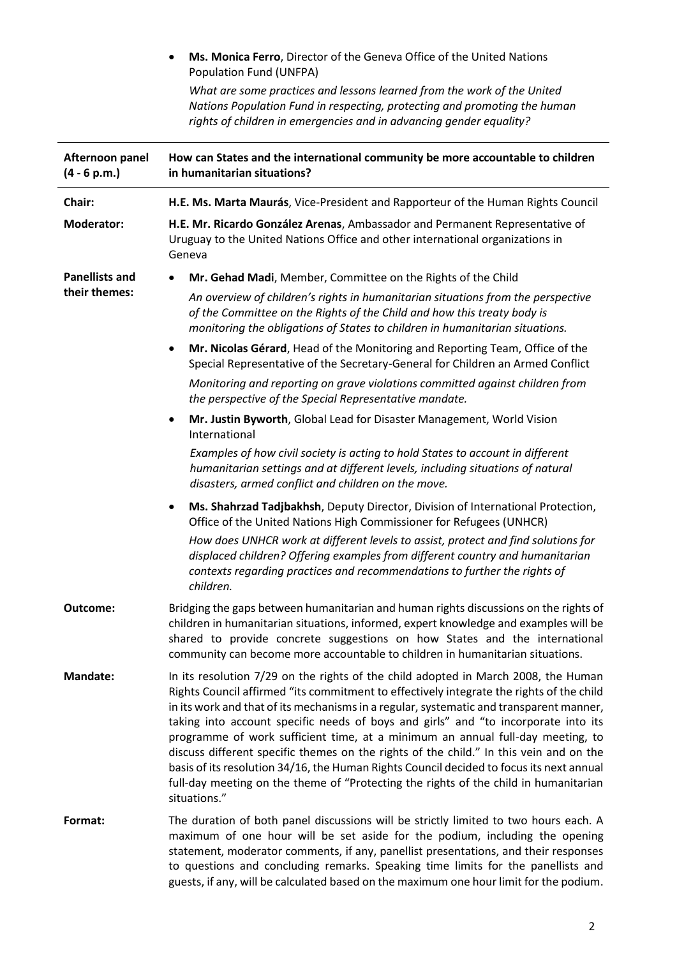**Ms. Monica Ferro**, Director of the Geneva Office of the United Nations Population Fund (UNFPA)

*What are some practices and lessons learned from the work of the United Nations Population Fund in respecting, protecting and promoting the human rights of children in emergencies and in advancing gender equality?*

| Afternoon panel<br>$(4 - 6 p.m.)$      | How can States and the international community be more accountable to children<br>in humanitarian situations?                                                                                                                                                                                                                                                                                                                                                                                                                                                                                                                                                                                                                                   |
|----------------------------------------|-------------------------------------------------------------------------------------------------------------------------------------------------------------------------------------------------------------------------------------------------------------------------------------------------------------------------------------------------------------------------------------------------------------------------------------------------------------------------------------------------------------------------------------------------------------------------------------------------------------------------------------------------------------------------------------------------------------------------------------------------|
| Chair:                                 | H.E. Ms. Marta Maurás, Vice-President and Rapporteur of the Human Rights Council                                                                                                                                                                                                                                                                                                                                                                                                                                                                                                                                                                                                                                                                |
| <b>Moderator:</b>                      | H.E. Mr. Ricardo González Arenas, Ambassador and Permanent Representative of<br>Uruguay to the United Nations Office and other international organizations in<br>Geneva                                                                                                                                                                                                                                                                                                                                                                                                                                                                                                                                                                         |
| <b>Panellists and</b><br>their themes: | Mr. Gehad Madi, Member, Committee on the Rights of the Child                                                                                                                                                                                                                                                                                                                                                                                                                                                                                                                                                                                                                                                                                    |
|                                        | An overview of children's rights in humanitarian situations from the perspective<br>of the Committee on the Rights of the Child and how this treaty body is<br>monitoring the obligations of States to children in humanitarian situations.                                                                                                                                                                                                                                                                                                                                                                                                                                                                                                     |
|                                        | Mr. Nicolas Gérard, Head of the Monitoring and Reporting Team, Office of the<br>$\bullet$<br>Special Representative of the Secretary-General for Children an Armed Conflict                                                                                                                                                                                                                                                                                                                                                                                                                                                                                                                                                                     |
|                                        | Monitoring and reporting on grave violations committed against children from<br>the perspective of the Special Representative mandate.                                                                                                                                                                                                                                                                                                                                                                                                                                                                                                                                                                                                          |
|                                        | Mr. Justin Byworth, Global Lead for Disaster Management, World Vision<br>$\bullet$<br>International                                                                                                                                                                                                                                                                                                                                                                                                                                                                                                                                                                                                                                             |
|                                        | Examples of how civil society is acting to hold States to account in different<br>humanitarian settings and at different levels, including situations of natural<br>disasters, armed conflict and children on the move.                                                                                                                                                                                                                                                                                                                                                                                                                                                                                                                         |
|                                        | Ms. Shahrzad Tadjbakhsh, Deputy Director, Division of International Protection,<br>٠<br>Office of the United Nations High Commissioner for Refugees (UNHCR)                                                                                                                                                                                                                                                                                                                                                                                                                                                                                                                                                                                     |
|                                        | How does UNHCR work at different levels to assist, protect and find solutions for<br>displaced children? Offering examples from different country and humanitarian<br>contexts regarding practices and recommendations to further the rights of<br>children.                                                                                                                                                                                                                                                                                                                                                                                                                                                                                    |
| Outcome:                               | Bridging the gaps between humanitarian and human rights discussions on the rights of<br>children in humanitarian situations, informed, expert knowledge and examples will be<br>shared to provide concrete suggestions on how States and the international<br>community can become more accountable to children in humanitarian situations.                                                                                                                                                                                                                                                                                                                                                                                                     |
| <b>Mandate:</b>                        | In its resolution 7/29 on the rights of the child adopted in March 2008, the Human<br>Rights Council affirmed "its commitment to effectively integrate the rights of the child<br>in its work and that of its mechanisms in a regular, systematic and transparent manner,<br>taking into account specific needs of boys and girls" and "to incorporate into its<br>programme of work sufficient time, at a minimum an annual full-day meeting, to<br>discuss different specific themes on the rights of the child." In this vein and on the<br>basis of its resolution 34/16, the Human Rights Council decided to focus its next annual<br>full-day meeting on the theme of "Protecting the rights of the child in humanitarian<br>situations." |
| Format:                                | The duration of both panel discussions will be strictly limited to two hours each. A<br>maximum of one hour will be set aside for the podium, including the opening<br>statement, moderator comments, if any, panellist presentations, and their responses<br>to questions and concluding remarks. Speaking time limits for the panellists and<br>guests, if any, will be calculated based on the maximum one hour limit for the podium.                                                                                                                                                                                                                                                                                                        |